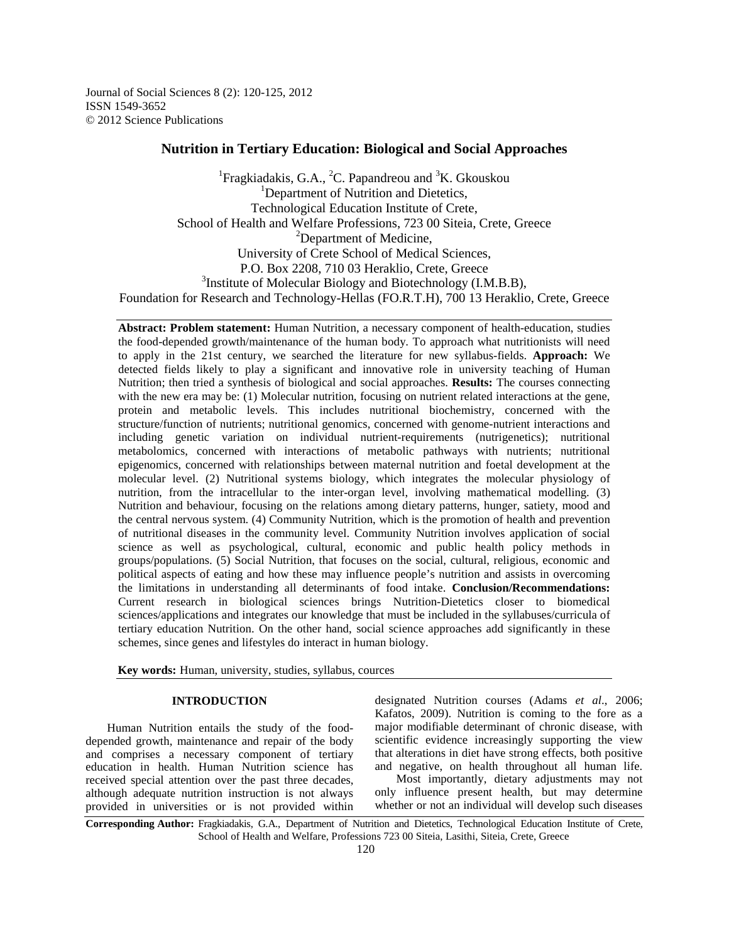Journal of Social Sciences 8 (2): 120-125, 2012 ISSN 1549-3652 © 2012 Science Publications

# **Nutrition in Tertiary Education: Biological and Social Approaches**

<sup>1</sup> Fragkiadakis, G.A., <sup>2</sup>C. Papandreou and <sup>3</sup>K. Gkouskou <sup>1</sup>Department of Nutrition and Dietetics, Technological Education Institute of Crete, School of Health and Welfare Professions, 723 00 Siteia, Crete, Greece <sup>2</sup>Department of Medicine, University of Crete School of Medical Sciences, P.O. Box 2208, 710 03 Heraklio, Crete, Greece  $3$ Institute of Molecular Biology and Biotechnology (I.M.B.B), Foundation for Research and Technology-Hellas (FO.R.T.H), 700 13 Heraklio, Crete, Greece

**Abstract: Problem statement:** Human Nutrition, a necessary component of health-education, studies the food-depended growth/maintenance of the human body. To approach what nutritionists will need to apply in the 21st century, we searched the literature for new syllabus-fields. **Approach:** We detected fields likely to play a significant and innovative role in university teaching of Human Nutrition; then tried a synthesis of biological and social approaches. **Results:** The courses connecting with the new era may be: (1) Molecular nutrition, focusing on nutrient related interactions at the gene, protein and metabolic levels. This includes nutritional biochemistry, concerned with the structure/function of nutrients; nutritional genomics, concerned with genome-nutrient interactions and including genetic variation on individual nutrient-requirements (nutrigenetics); nutritional metabolomics, concerned with interactions of metabolic pathways with nutrients; nutritional epigenomics, concerned with relationships between maternal nutrition and foetal development at the molecular level. (2) Nutritional systems biology, which integrates the molecular physiology of nutrition, from the intracellular to the inter-organ level, involving mathematical modelling. (3) Nutrition and behaviour, focusing on the relations among dietary patterns, hunger, satiety, mood and the central nervous system. (4) Community Nutrition, which is the promotion of health and prevention of nutritional diseases in the community level. Community Nutrition involves application of social science as well as psychological, cultural, economic and public health policy methods in groups/populations. (5) Social Nutrition, that focuses on the social, cultural, religious, economic and political aspects of eating and how these may influence people's nutrition and assists in overcoming the limitations in understanding all determinants of food intake. **Conclusion/Recommendations:** Current research in biological sciences brings Nutrition-Dietetics closer to biomedical sciences/applications and integrates our knowledge that must be included in the syllabuses/curricula of tertiary education Nutrition. On the other hand, social science approaches add significantly in these schemes, since genes and lifestyles do interact in human biology.

**Key words:** Human, university, studies, syllabus, cources

## **INTRODUCTION**

 Human Nutrition entails the study of the fooddepended growth, maintenance and repair of the body and comprises a necessary component of tertiary education in health. Human Nutrition science has received special attention over the past three decades, although adequate nutrition instruction is not always provided in universities or is not provided within

designated Nutrition courses (Adams *et al*., 2006; Kafatos, 2009). Nutrition is coming to the fore as a major modifiable determinant of chronic disease, with scientific evidence increasingly supporting the view that alterations in diet have strong effects, both positive and negative, on health throughout all human life.

 Most importantly, dietary adjustments may not only influence present health, but may determine whether or not an individual will develop such diseases

**Corresponding Author:** Fragkiadakis, G.A., Department of Nutrition and Dietetics, Technological Education Institute of Crete, School of Health and Welfare, Professions 723 00 Siteia, Lasithi, Siteia, Crete, Greece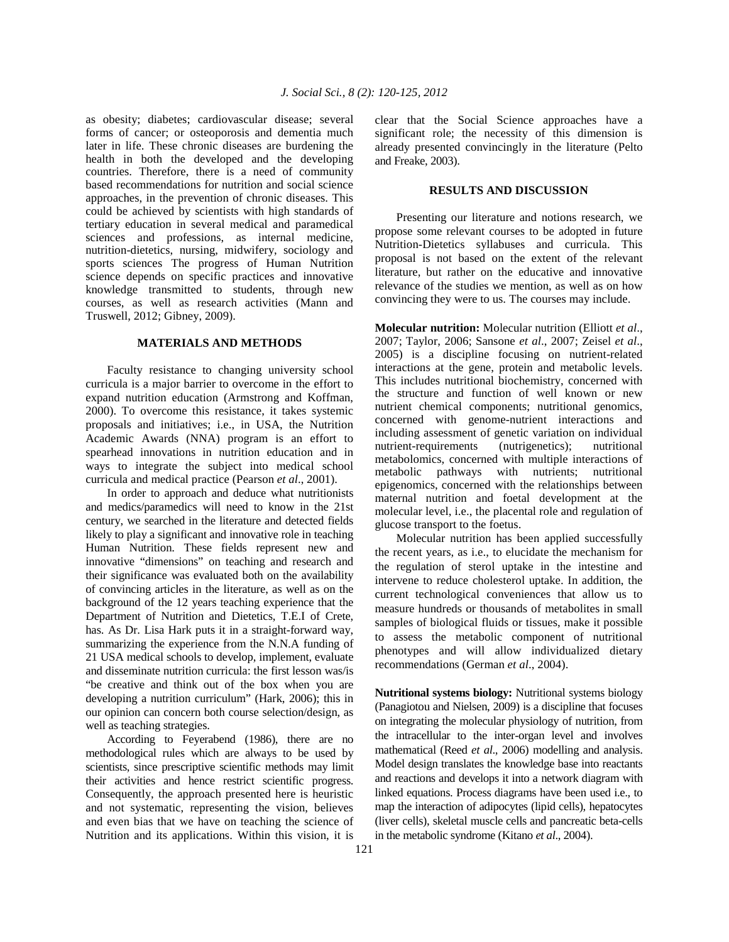as obesity; diabetes; cardiovascular disease; several forms of cancer; or osteoporosis and dementia much later in life. These chronic diseases are burdening the health in both the developed and the developing countries. Therefore, there is a need of community based recommendations for nutrition and social science approaches, in the prevention of chronic diseases. This could be achieved by scientists with high standards of tertiary education in several medical and paramedical sciences and professions, as internal medicine, nutrition-dietetics, nursing, midwifery, sociology and sports sciences The progress of Human Nutrition science depends on specific practices and innovative knowledge transmitted to students, through new courses, as well as research activities (Mann and Truswell, 2012; Gibney, 2009).

### **MATERIALS AND METHODS**

 Faculty resistance to changing university school curricula is a major barrier to overcome in the effort to expand nutrition education (Armstrong and Koffman, 2000). To overcome this resistance, it takes systemic proposals and initiatives; i.e., in USA, the Nutrition Academic Awards (NNA) program is an effort to spearhead innovations in nutrition education and in ways to integrate the subject into medical school curricula and medical practice (Pearson *et al*., 2001).

 In order to approach and deduce what nutritionists and medics/paramedics will need to know in the 21st century, we searched in the literature and detected fields likely to play a significant and innovative role in teaching Human Nutrition. These fields represent new and innovative "dimensions" on teaching and research and their significance was evaluated both on the availability of convincing articles in the literature, as well as on the background of the 12 years teaching experience that the Department of Nutrition and Dietetics, T.E.I of Crete, has. As Dr. Lisa Hark puts it in a straight-forward way, summarizing the experience from the N.N.A funding of 21 USA medical schools to develop, implement, evaluate and disseminate nutrition curricula: the first lesson was/is "be creative and think out of the box when you are developing a nutrition curriculum" (Hark, 2006); this in our opinion can concern both course selection/design, as well as teaching strategies.

 According to Feyerabend (1986), there are no methodological rules which are always to be used by scientists, since prescriptive scientific methods may limit their activities and hence restrict scientific progress. Consequently, the approach presented here is heuristic and not systematic, representing the vision, believes and even bias that we have on teaching the science of Nutrition and its applications. Within this vision, it is

clear that the Social Science approaches have a significant role; the necessity of this dimension is already presented convincingly in the literature (Pelto and Freake, 2003).

#### **RESULTS AND DISCUSSION**

 Presenting our literature and notions research, we propose some relevant courses to be adopted in future Nutrition-Dietetics syllabuses and curricula. This proposal is not based on the extent of the relevant literature, but rather on the educative and innovative relevance of the studies we mention, as well as on how convincing they were to us. The courses may include.

**Molecular nutrition:** Molecular nutrition (Elliott *et al*., 2007; Taylor, 2006; Sansone *et al*., 2007; Zeisel *et al*., 2005) is a discipline focusing on nutrient-related interactions at the gene, protein and metabolic levels. This includes nutritional biochemistry, concerned with the structure and function of well known or new nutrient chemical components; nutritional genomics, concerned with genome-nutrient interactions and including assessment of genetic variation on individual nutrient-requirements (nutrigenetics); nutritional metabolomics, concerned with multiple interactions of metabolic pathways with nutrients; nutritional epigenomics, concerned with the relationships between maternal nutrition and foetal development at the molecular level, i.e., the placental role and regulation of glucose transport to the foetus.

 Molecular nutrition has been applied successfully the recent years, as i.e., to elucidate the mechanism for the regulation of sterol uptake in the intestine and intervene to reduce cholesterol uptake. In addition, the current technological conveniences that allow us to measure hundreds or thousands of metabolites in small samples of biological fluids or tissues, make it possible to assess the metabolic component of nutritional phenotypes and will allow individualized dietary recommendations (German *et al*., 2004).

**Nutritional systems biology:** Nutritional systems biology (Panagiotou and Nielsen, 2009) is a discipline that focuses on integrating the molecular physiology of nutrition, from the intracellular to the inter-organ level and involves mathematical (Reed *et al*., 2006) modelling and analysis. Model design translates the knowledge base into reactants and reactions and develops it into a network diagram with linked equations. Process diagrams have been used i.e., to map the interaction of adipocytes (lipid cells), hepatocytes (liver cells), skeletal muscle cells and pancreatic beta-cells in the metabolic syndrome (Kitano *et al*., 2004).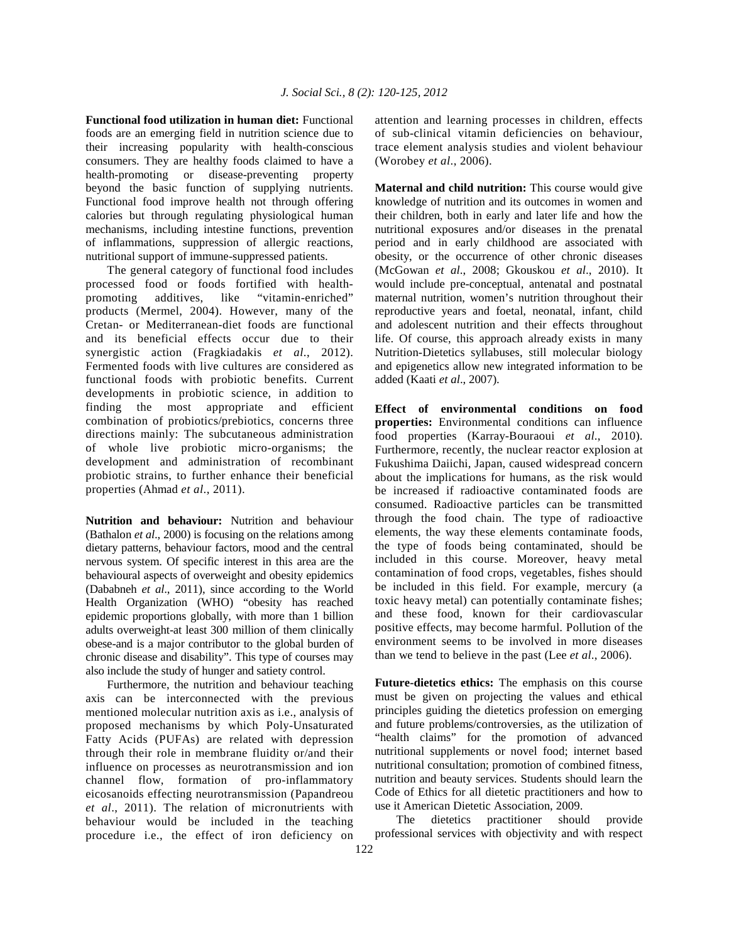**Functional food utilization in human diet:** Functional foods are an emerging field in nutrition science due to their increasing popularity with health-conscious consumers. They are healthy foods claimed to have a health-promoting or disease-preventing property beyond the basic function of supplying nutrients. Functional food improve health not through offering calories but through regulating physiological human mechanisms, including intestine functions, prevention of inflammations, suppression of allergic reactions, nutritional support of immune-suppressed patients.

 The general category of functional food includes processed food or foods fortified with healthpromoting additives, like "vitamin-enriched" products (Mermel, 2004). However, many of the Cretan- or Mediterranean-diet foods are functional and its beneficial effects occur due to their synergistic action (Fragkiadakis *et al*., 2012). Fermented foods with live cultures are considered as functional foods with probiotic benefits. Current developments in probiotic science, in addition to finding the most appropriate and efficient combination of probiotics/prebiotics, concerns three directions mainly: The subcutaneous administration of whole live probiotic micro-organisms; the development and administration of recombinant probiotic strains, to further enhance their beneficial properties (Ahmad *et al*., 2011).

**Nutrition and behaviour:** Nutrition and behaviour (Bathalon *et al*., 2000) is focusing on the relations among dietary patterns, behaviour factors, mood and the central nervous system. Of specific interest in this area are the behavioural aspects of overweight and obesity epidemics (Dababneh *et al*., 2011), since according to the World Health Organization (WHO) "obesity has reached epidemic proportions globally, with more than 1 billion adults overweight-at least 300 million of them clinically obese-and is a major contributor to the global burden of chronic disease and disability". This type of courses may also include the study of hunger and satiety control.

 Furthermore, the nutrition and behaviour teaching axis can be interconnected with the previous mentioned molecular nutrition axis as i.e., analysis of proposed mechanisms by which Poly-Unsaturated Fatty Acids (PUFAs) are related with depression through their role in membrane fluidity or/and their influence on processes as neurotransmission and ion channel flow, formation of pro-inflammatory eicosanoids effecting neurotransmission (Papandreou *et al*., 2011). The relation of micronutrients with behaviour would be included in the teaching procedure i.e., the effect of iron deficiency on

attention and learning processes in children, effects of sub-clinical vitamin deficiencies on behaviour, trace element analysis studies and violent behaviour (Worobey *et al*., 2006).

**Maternal and child nutrition:** This course would give knowledge of nutrition and its outcomes in women and their children, both in early and later life and how the nutritional exposures and/or diseases in the prenatal period and in early childhood are associated with obesity, or the occurrence of other chronic diseases (McGowan *et al*., 2008; Gkouskou *et al*., 2010). It would include pre-conceptual, antenatal and postnatal maternal nutrition, women's nutrition throughout their reproductive years and foetal, neonatal, infant, child and adolescent nutrition and their effects throughout life. Of course, this approach already exists in many Nutrition-Dietetics syllabuses, still molecular biology and epigenetics allow new integrated information to be added (Kaati *et al*., 2007).

**Effect of environmental conditions on food properties:** Environmental conditions can influence food properties (Karray-Bouraoui *et al*., 2010). Furthermore, recently, the nuclear reactor explosion at Fukushima Daiichi, Japan, caused widespread concern about the implications for humans, as the risk would be increased if radioactive contaminated foods are consumed. Radioactive particles can be transmitted through the food chain. The type of radioactive elements, the way these elements contaminate foods, the type of foods being contaminated, should be included in this course. Moreover, heavy metal contamination of food crops, vegetables, fishes should be included in this field. For example, mercury (a toxic heavy metal) can potentially contaminate fishes; and these food, known for their cardiovascular positive effects, may become harmful. Pollution of the environment seems to be involved in more diseases than we tend to believe in the past (Lee *et al*., 2006).

**Future-dietetics ethics:** The emphasis on this course must be given on projecting the values and ethical principles guiding the dietetics profession on emerging and future problems/controversies, as the utilization of "health claims" for the promotion of advanced nutritional supplements or novel food; internet based nutritional consultation; promotion of combined fitness, nutrition and beauty services. Students should learn the Code of Ethics for all dietetic practitioners and how to use it American Dietetic Association, 2009.

 The dietetics practitioner should provide professional services with objectivity and with respect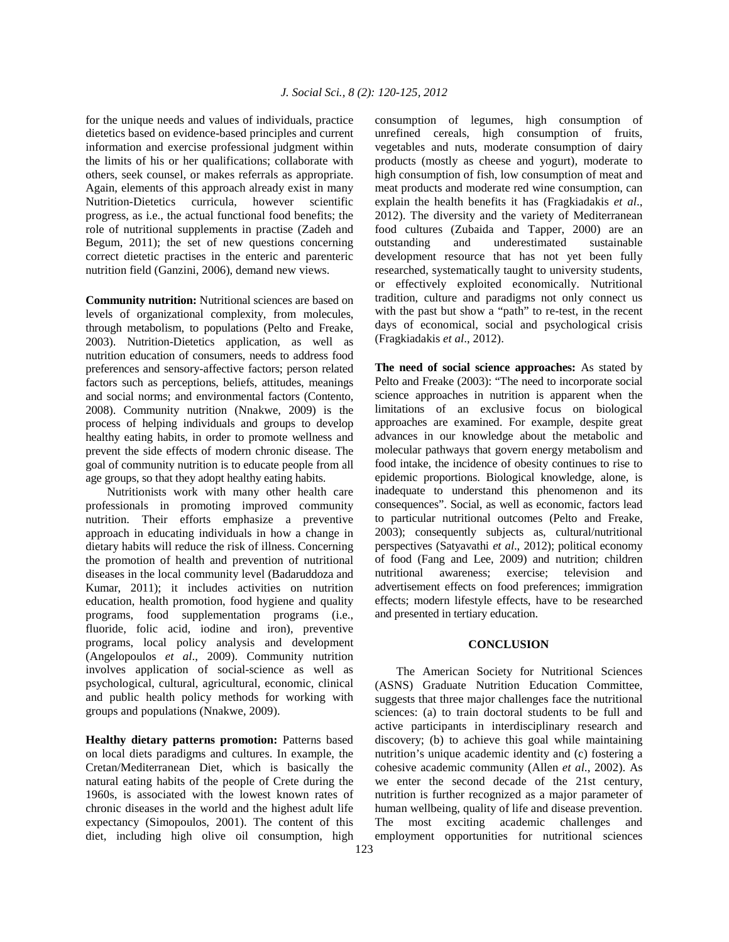for the unique needs and values of individuals, practice dietetics based on evidence-based principles and current information and exercise professional judgment within the limits of his or her qualifications; collaborate with others, seek counsel, or makes referrals as appropriate. Again, elements of this approach already exist in many Nutrition-Dietetics curricula, however scientific progress, as i.e., the actual functional food benefits; the role of nutritional supplements in practise (Zadeh and Begum, 2011); the set of new questions concerning correct dietetic practises in the enteric and parenteric nutrition field (Ganzini, 2006), demand new views.

**Community nutrition:** Nutritional sciences are based on levels of organizational complexity, from molecules, through metabolism, to populations (Pelto and Freake, 2003). Nutrition-Dietetics application, as well as nutrition education of consumers, needs to address food preferences and sensory-affective factors; person related factors such as perceptions, beliefs, attitudes, meanings and social norms; and environmental factors (Contento, 2008). Community nutrition (Nnakwe, 2009) is the process of helping individuals and groups to develop healthy eating habits, in order to promote wellness and prevent the side effects of modern chronic disease. The goal of community nutrition is to educate people from all age groups, so that they adopt healthy eating habits.

 Nutritionists work with many other health care professionals in promoting improved community nutrition. Their efforts emphasize a preventive approach in educating individuals in how a change in dietary habits will reduce the risk of illness. Concerning the promotion of health and prevention of nutritional diseases in the local community level (Badaruddoza and Kumar, 2011); it includes activities on nutrition education, health promotion, food hygiene and quality programs, food supplementation programs (i.e., fluoride, folic acid, iodine and iron), preventive programs, local policy analysis and development (Angelopoulos *et al*., 2009). Community nutrition involves application of social-science as well as psychological, cultural, agricultural, economic, clinical and public health policy methods for working with groups and populations (Nnakwe, 2009).

**Healthy dietary patterns promotion:** Patterns based on local diets paradigms and cultures. In example, the Cretan/Mediterranean Diet, which is basically the natural eating habits of the people of Crete during the 1960s, is associated with the lowest known rates of chronic diseases in the world and the highest adult life expectancy (Simopoulos, 2001). The content of this diet, including high olive oil consumption, high

consumption of legumes, high consumption of unrefined cereals, high consumption of fruits, vegetables and nuts, moderate consumption of dairy products (mostly as cheese and yogurt), moderate to high consumption of fish, low consumption of meat and meat products and moderate red wine consumption, can explain the health benefits it has (Fragkiadakis *et al*., 2012). The diversity and the variety of Mediterranean food cultures (Zubaida and Tapper, 2000) are an outstanding and underestimated sustainable development resource that has not yet been fully researched, systematically taught to university students, or effectively exploited economically. Nutritional tradition, culture and paradigms not only connect us with the past but show a "path" to re-test, in the recent days of economical, social and psychological crisis (Fragkiadakis *et al*., 2012).

**The need of social science approaches:** As stated by Pelto and Freake (2003): "The need to incorporate social science approaches in nutrition is apparent when the limitations of an exclusive focus on biological approaches are examined. For example, despite great advances in our knowledge about the metabolic and molecular pathways that govern energy metabolism and food intake, the incidence of obesity continues to rise to epidemic proportions. Biological knowledge, alone, is inadequate to understand this phenomenon and its consequences". Social, as well as economic, factors lead to particular nutritional outcomes (Pelto and Freake, 2003); consequently subjects as, cultural/nutritional perspectives (Satyavathi *et al*., 2012); political economy of food (Fang and Lee, 2009) and nutrition; children nutritional awareness; exercise; television and advertisement effects on food preferences; immigration effects; modern lifestyle effects, have to be researched and presented in tertiary education.

### **CONCLUSION**

 The American Society for Nutritional Sciences (ASNS) Graduate Nutrition Education Committee, suggests that three major challenges face the nutritional sciences: (a) to train doctoral students to be full and active participants in interdisciplinary research and discovery; (b) to achieve this goal while maintaining nutrition's unique academic identity and (c) fostering a cohesive academic community (Allen *et al*., 2002). As we enter the second decade of the 21st century, nutrition is further recognized as a major parameter of human wellbeing, quality of life and disease prevention. The most exciting academic challenges and employment opportunities for nutritional sciences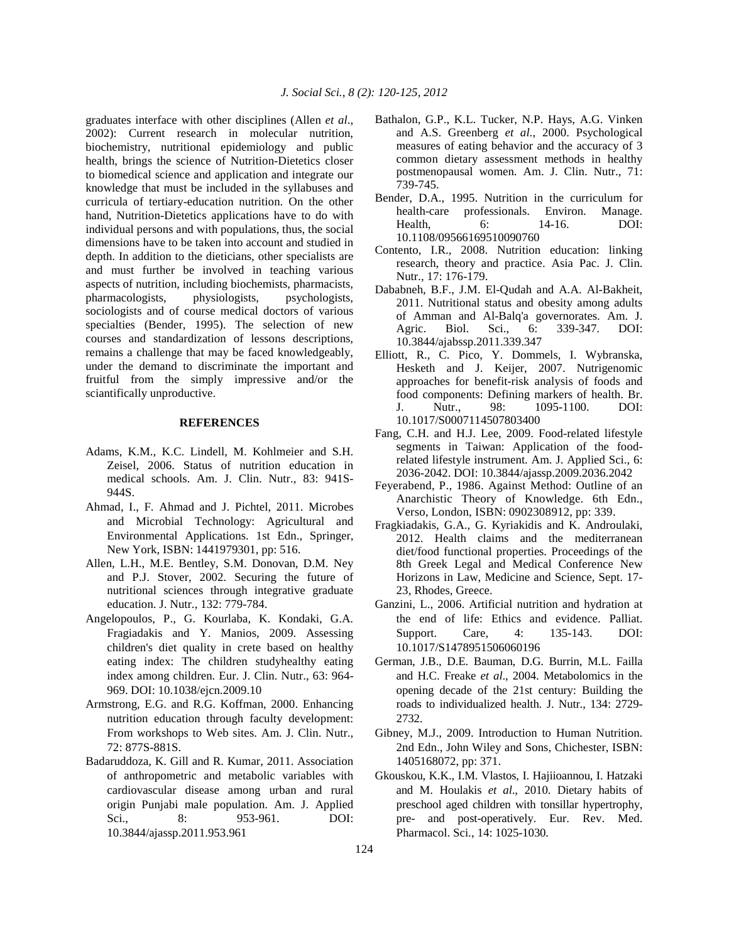graduates interface with other disciplines (Allen *et al*., 2002): Current research in molecular nutrition, biochemistry, nutritional epidemiology and public health, brings the science of Nutrition-Dietetics closer to biomedical science and application and integrate our knowledge that must be included in the syllabuses and curricula of tertiary-education nutrition. On the other hand, Nutrition-Dietetics applications have to do with individual persons and with populations, thus, the social dimensions have to be taken into account and studied in depth. In addition to the dieticians, other specialists are and must further be involved in teaching various aspects of nutrition, including biochemists, pharmacists, pharmacologists, physiologists, psychologists, sociologists and of course medical doctors of various specialties (Bender, 1995). The selection of new courses and standardization of lessons descriptions, remains a challenge that may be faced knowledgeably, under the demand to discriminate the important and fruitful from the simply impressive and/or the sciantifically unproductive.

#### **REFERENCES**

- Adams, K.M., K.C. Lindell, M. Kohlmeier and S.H. Zeisel, 2006. Status of nutrition education in medical schools. Am. J. Clin. Nutr., 83: 941S-944S.
- Ahmad, I., F. Ahmad and J. Pichtel, 2011. Microbes and Microbial Technology: Agricultural and Environmental Applications. 1st Edn., Springer, New York, ISBN: 1441979301, pp: 516.
- Allen, L.H., M.E. Bentley, S.M. Donovan, D.M. Ney and P.J. Stover, 2002. Securing the future of nutritional sciences through integrative graduate education. J. Nutr., 132: 779-784.
- Angelopoulos, P., G. Kourlaba, K. Kondaki, G.A. Fragiadakis and Y. Manios, 2009. Assessing children's diet quality in crete based on healthy eating index: The children studyhealthy eating index among children. Eur. J. Clin. Nutr., 63: 964- 969. DOI: 10.1038/ejcn.2009.10
- Armstrong, E.G. and R.G. Koffman, 2000. Enhancing nutrition education through faculty development: From workshops to Web sites. Am. J. Clin. Nutr., 72: 877S-881S.
- Badaruddoza, K. Gill and R. Kumar, 2011. Association of anthropometric and metabolic variables with cardiovascular disease among urban and rural origin Punjabi male population. Am. J. Applied Sci., 8: 953-961. DOI: 10.3844/ajassp.2011.953.961
- Bathalon, G.P., K.L. Tucker, N.P. Hays, A.G. Vinken and A.S. Greenberg *et al*., 2000. Psychological measures of eating behavior and the accuracy of 3 common dietary assessment methods in healthy postmenopausal women. Am. J. Clin. Nutr., 71: 739-745.
- Bender, D.A., 1995. Nutrition in the curriculum for health-care professionals. Environ. Manage. Health, 6: 14-16. DOI: 10.1108/09566169510090760
- Contento, I.R., 2008. Nutrition education: linking research, theory and practice. Asia Pac. J. Clin. Nutr., 17: 176-179.
- Dababneh, B.F., J.M. El-Qudah and A.A. Al-Bakheit, 2011. Nutritional status and obesity among adults of Amman and Al-Balq'a governorates. Am. J. Agric. Biol. Sci., 6: 339-347. DOI: 10.3844/ajabssp.2011.339.347
- Elliott, R., C. Pico, Y. Dommels, I. Wybranska, Hesketh and J. Keijer, 2007. Nutrigenomic approaches for benefit-risk analysis of foods and food components: Defining markers of health. Br. J. Nutr., 98: 1095-1100. DOI: 10.1017/S0007114507803400
- Fang, C.H. and H.J. Lee, 2009. Food-related lifestyle segments in Taiwan: Application of the foodrelated lifestyle instrument. Am. J. Applied Sci., 6: 2036-2042. DOI: 10.3844/ajassp.2009.2036.2042
- Feyerabend, P., 1986. Against Method: Outline of an Anarchistic Theory of Knowledge. 6th Edn., Verso, London, ISBN: 0902308912, pp: 339.
- Fragkiadakis, G.A., G. Kyriakidis and K. Androulaki, 2012. Health claims and the mediterranean diet/food functional properties. Proceedings of the 8th Greek Legal and Medical Conference New Horizons in Law, Medicine and Science, Sept. 17- 23, Rhodes, Greece.
- Ganzini, L., 2006. Artificial nutrition and hydration at the end of life: Ethics and evidence. Palliat. Support. Care, 4: 135-143. DOI: 10.1017/S1478951506060196
- German, J.B., D.E. Bauman, D.G. Burrin, M.L. Failla and H.C. Freake *et al*., 2004. Metabolomics in the opening decade of the 21st century: Building the roads to individualized health. J. Nutr., 134: 2729- 2732.
- Gibney, M.J., 2009. Introduction to Human Nutrition. 2nd Edn., John Wiley and Sons, Chichester, ISBN: 1405168072, pp: 371.
- Gkouskou, K.K., I.M. Vlastos, I. Hajiioannou, I. Hatzaki and M. Houlakis *et al*., 2010. Dietary habits of preschool aged children with tonsillar hypertrophy, pre- and post-operatively. Eur. Rev. Med. Pharmacol. Sci., 14: 1025-1030.